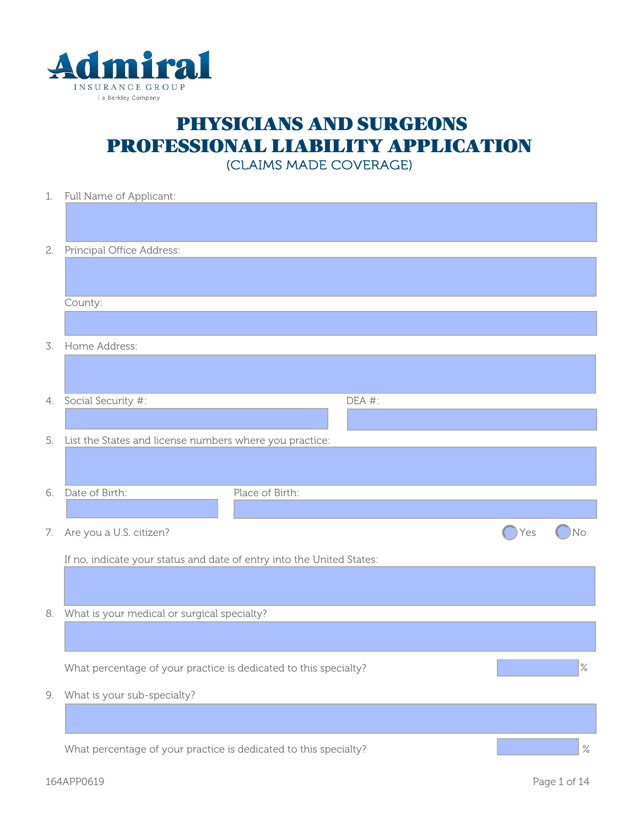

## PHYSICIANS AND SURGEONS PROFESSIONAL LIABILITY APPLICATION

(CLAIMS MADE COVERAGE)

| No   |
|------|
|      |
|      |
|      |
|      |
|      |
|      |
| $\%$ |
|      |
|      |
|      |
|      |
|      |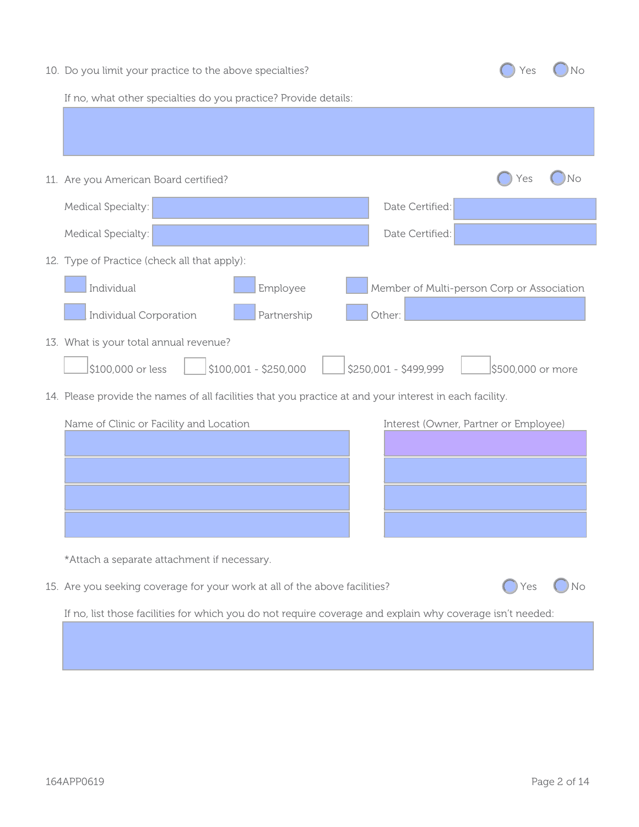|  |  | 10. Do you limit your practice to the above specialties? |  |  |
|--|--|----------------------------------------------------------|--|--|
|--|--|----------------------------------------------------------|--|--|



If no, what other specialties do you practice? Provide details:

| 11. Are you American Board certified?                                                                   | Yes<br>No                                  |
|---------------------------------------------------------------------------------------------------------|--------------------------------------------|
| Medical Specialty:                                                                                      | Date Certified:                            |
| Medical Specialty:                                                                                      | Date Certified:                            |
| 12. Type of Practice (check all that apply):                                                            |                                            |
| Individual<br>Employee                                                                                  | Member of Multi-person Corp or Association |
| <b>Individual Corporation</b><br>Partnership                                                            | Other:                                     |
| 13. What is your total annual revenue?                                                                  |                                            |
| \$100,001 - \$250,000<br>\$100,000 or less                                                              | \$250,001 - \$499,999<br>\$500,000 or more |
| 14. Please provide the names of all facilities that you practice at and your interest in each facility. |                                            |
| Name of Clinic or Facility and Location                                                                 | Interest (Owner, Partner or Employee)      |
|                                                                                                         |                                            |
|                                                                                                         |                                            |
|                                                                                                         |                                            |
|                                                                                                         |                                            |
| *Attach a separate attachment if necessary.                                                             |                                            |
| 15. Are you seeking coverage for your work at all of the above facilities?                              |                                            |
|                                                                                                         |                                            |

If no, list those facilities for which you do not require coverage and explain why coverage isn't needed: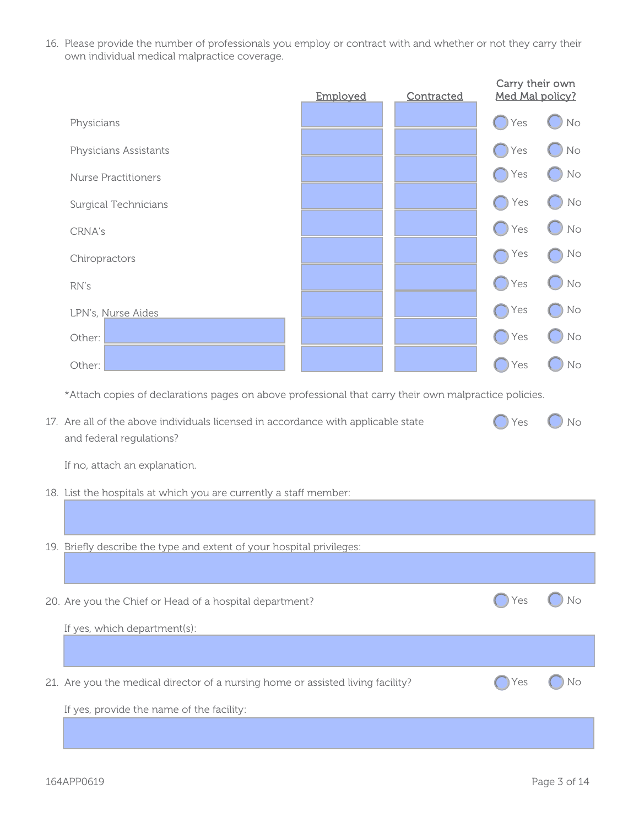16. Please provide the number of professionals you employ or contract with and whether or not they carry their own individual medical malpractice coverage.

|                                                                                                               | Employed | Contracted | Carry their own<br>Med Mal policy? |    |  |
|---------------------------------------------------------------------------------------------------------------|----------|------------|------------------------------------|----|--|
| Physicians                                                                                                    |          |            | Yes                                | No |  |
| Physicians Assistants                                                                                         |          |            | Yes                                | No |  |
| <b>Nurse Practitioners</b>                                                                                    |          |            | Yes                                | No |  |
| <b>Surgical Technicians</b>                                                                                   |          |            | Yes                                | No |  |
| CRNA's                                                                                                        |          |            | Yes                                | No |  |
| Chiropractors                                                                                                 |          |            | Yes                                | No |  |
| RN's                                                                                                          |          |            | Yes                                | No |  |
| LPN's, Nurse Aides                                                                                            |          |            | Yes                                | No |  |
| Other:                                                                                                        |          |            | Yes                                | No |  |
| Other:                                                                                                        |          |            | Yes                                | No |  |
| *Attach copies of declarations pages on above professional that carry their own malpractice policies.         |          |            |                                    |    |  |
| 17. Are all of the above individuals licensed in accordance with applicable state<br>and federal regulations? |          |            | Yes                                | No |  |
| If no, attach an explanation.                                                                                 |          |            |                                    |    |  |
| 18. List the hospitals at which you are currently a staff member:                                             |          |            |                                    |    |  |
|                                                                                                               |          |            |                                    |    |  |
| 19. Briefly describe the type and extent of your hospital privileges:                                         |          |            |                                    |    |  |
|                                                                                                               |          |            |                                    |    |  |
| 20. Are you the Chief or Head of a hospital department?                                                       |          |            | Yes                                | No |  |
| If yes, which department(s):                                                                                  |          |            |                                    |    |  |
|                                                                                                               |          |            |                                    |    |  |
| 21. Are you the medical director of a nursing home or assisted living facility?                               |          |            | Yes                                | No |  |
| If yes, provide the name of the facility:                                                                     |          |            |                                    |    |  |
|                                                                                                               |          |            |                                    |    |  |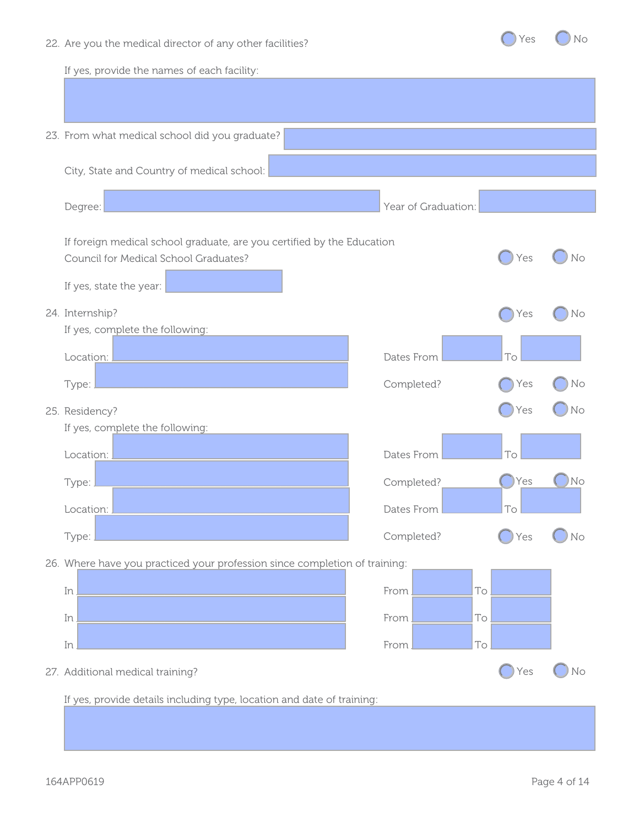22. Are you the medical director of any other facilities?



If yes, provide the names of each facility: 23. From what medical school did you graduate? City, State and Country of medical school: Degree: Vear of Graduation: Vear of Graduation: Vear of Graduation: If foreign medical school graduate, are you certified by the Education Council for Medical School Graduates? If yes, state the year: 24. Internship? If yes, complete the following: Location: \_\_\_\_\_\_\_\_\_\_\_\_\_\_\_\_\_\_\_\_\_\_\_\_\_\_\_\_\_\_\_\_\_\_\_\_\_\_\_\_\_\_\_ Dates From To Type: <u>Network: Type:</u> Completed? 25. Residency? If yes, complete the following: Location: \_\_\_\_\_\_\_\_\_\_\_\_\_\_\_\_\_\_\_\_\_\_\_\_\_\_\_\_\_\_\_\_\_\_\_\_\_\_\_\_\_\_\_ Dates From To Type: \_\_\_\_\_\_\_\_\_\_\_\_\_\_\_\_\_\_\_\_\_\_\_\_\_\_\_\_\_\_\_\_\_\_\_\_\_\_\_\_\_\_\_\_\_\_ Completed? Location: <u>Location:</u> Location: Location: Location: Location: Let us a set us a set us a set us a set us a set u Type: <u>Decree and the completed?</u> Completed? 26. Where have you practiced your profession since completion of training: In \_\_\_\_\_\_\_\_\_\_\_\_\_\_\_\_\_\_\_\_\_\_\_\_\_\_\_\_\_\_\_\_\_\_\_\_\_\_\_\_\_\_\_\_\_\_\_\_\_ From \_\_\_\_\_\_\_\_\_\_\_ To \_\_\_\_\_\_\_\_\_\_\_ In \_\_\_\_\_\_\_\_\_\_\_\_\_\_\_\_\_\_\_\_\_\_\_\_\_\_\_\_\_\_\_\_\_\_\_\_\_\_\_\_\_\_\_\_\_\_\_\_\_ From \_\_\_\_\_\_\_\_\_\_\_ To \_\_\_\_\_\_\_\_\_\_\_ In \_\_\_\_\_\_\_\_\_\_\_\_\_\_\_\_\_\_\_\_\_\_\_\_\_\_\_\_\_\_\_\_\_\_\_\_\_\_\_\_\_\_\_\_\_\_\_\_\_ From \_\_\_\_\_\_\_\_\_\_\_ To \_\_\_\_\_\_\_\_\_\_\_ 27. Additional medical training? If yes, provide details including type, location and date of training:  $Yes$   $()$  No Yes ( ) No  $Yes$   $No$ Yes ( ) No  $Yes$  (  $No$ Yes () No  $Yes$   $O$  No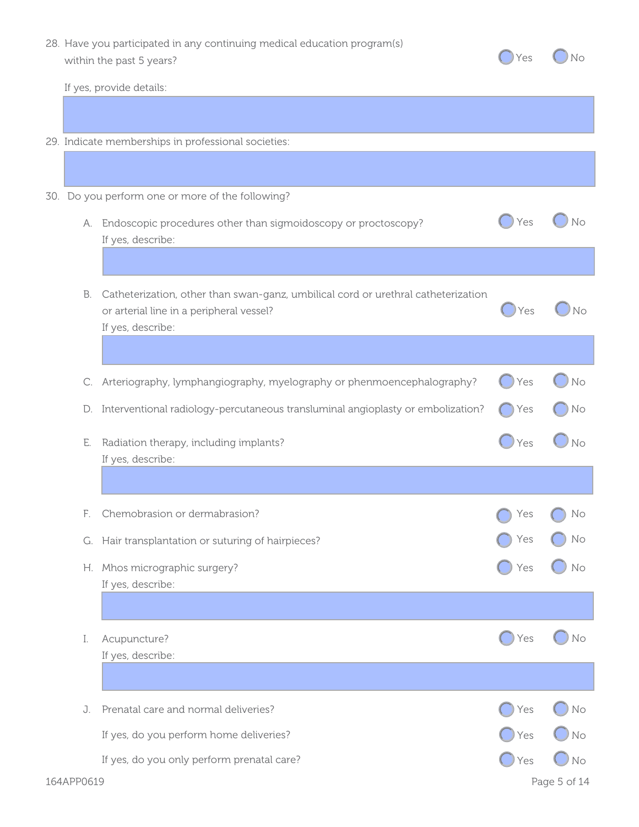28. Have you participated in any continuing medical education program(s) within the past 5 years?

| Yes | No |
|-----|----|
|     |    |

If yes, provide details:

- 29. Indicate memberships in professional societies:
- 30. Do you perform one or more of the following?

|    | A. Endoscopic procedures other than sigmoidoscopy or proctoscopy?<br>If yes, describe:                                                             | Yes | No |
|----|----------------------------------------------------------------------------------------------------------------------------------------------------|-----|----|
|    |                                                                                                                                                    |     |    |
| В. | Catheterization, other than swan-ganz, umbilical cord or urethral catheterization<br>or arterial line in a peripheral vessel?<br>If yes, describe: | Yes | No |
|    |                                                                                                                                                    |     |    |
|    | C. Arteriography, lymphangiography, myelography or phenmoencephalography?                                                                          | Yes | No |
|    | D. Interventional radiology-percutaneous transluminal angioplasty or embolization?                                                                 | Yes | No |
| Е. | Radiation therapy, including implants?<br>If yes, describe:                                                                                        | Yes | No |
|    |                                                                                                                                                    |     |    |
| F. | Chemobrasion or dermabrasion?                                                                                                                      | Yes | No |
|    | G. Hair transplantation or suturing of hairpieces?                                                                                                 | Yes | No |
|    | H. Mhos micrographic surgery?<br>If yes, describe:                                                                                                 | Yes | No |
|    |                                                                                                                                                    |     |    |
| I. | Acupuncture?<br>If yes, describe:                                                                                                                  | Yes | No |
|    |                                                                                                                                                    |     |    |
| J. | Prenatal care and normal deliveries?                                                                                                               | Yes | No |
|    | If yes, do you perform home deliveries?                                                                                                            | Yes | No |
|    | If yes, do you only perform prenatal care?                                                                                                         | Yes | No |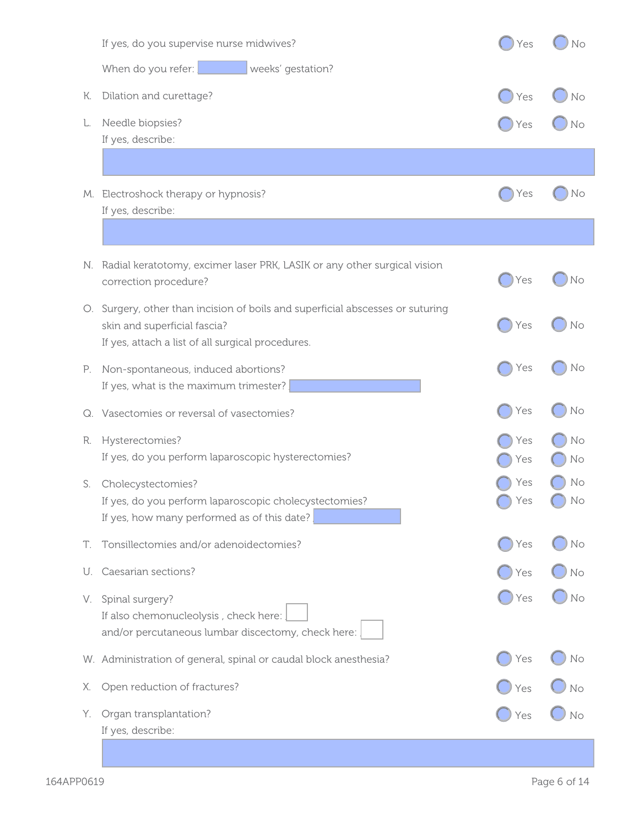|    | If yes, do you supervise nurse midwives?                                                                                                                            | Yes        | No       |
|----|---------------------------------------------------------------------------------------------------------------------------------------------------------------------|------------|----------|
|    | When do you refer:<br>weeks' gestation?                                                                                                                             |            |          |
| К. | Dilation and curettage?                                                                                                                                             | Yes        | No       |
| L. | Needle biopsies?<br>If yes, describe:                                                                                                                               | Yes        | No       |
|    |                                                                                                                                                                     |            |          |
|    | M. Electroshock therapy or hypnosis?<br>If yes, describe:                                                                                                           | Yes        | No       |
|    |                                                                                                                                                                     |            |          |
|    | N. Radial keratotomy, excimer laser PRK, LASIK or any other surgical vision<br>correction procedure?                                                                | Yes        | No       |
|    | O. Surgery, other than incision of boils and superficial abscesses or suturing<br>skin and superficial fascia?<br>If yes, attach a list of all surgical procedures. | Yes        | No       |
| P. | Non-spontaneous, induced abortions?<br>If yes, what is the maximum trimester?                                                                                       | Yes        | No       |
|    | Q. Vasectomies or reversal of vasectomies?                                                                                                                          | Yes        | No       |
| R. | Hysterectomies?<br>If yes, do you perform laparoscopic hysterectomies?                                                                                              | Yes<br>Yes | No<br>No |
| S. | Cholecystectomies?<br>If yes, do you perform laparoscopic cholecystectomies?<br>If yes, how many performed as of this date?                                         | Yes<br>Yes | No<br>No |
| Т. | Tonsillectomies and/or adenoidectomies?                                                                                                                             | Yes        | No       |
| U. | Caesarian sections?                                                                                                                                                 | Yes        | No       |
| V. | Spinal surgery?<br>If also chemonucleolysis, check here:<br>and/or percutaneous lumbar discectomy, check here:                                                      | Yes        | No       |
|    | W. Administration of general, spinal or caudal block anesthesia?                                                                                                    | Yes        | No       |
| Х. | Open reduction of fractures?                                                                                                                                        | Yes        | No       |
| Υ. | Organ transplantation?<br>If yes, describe:                                                                                                                         | Yes        | No       |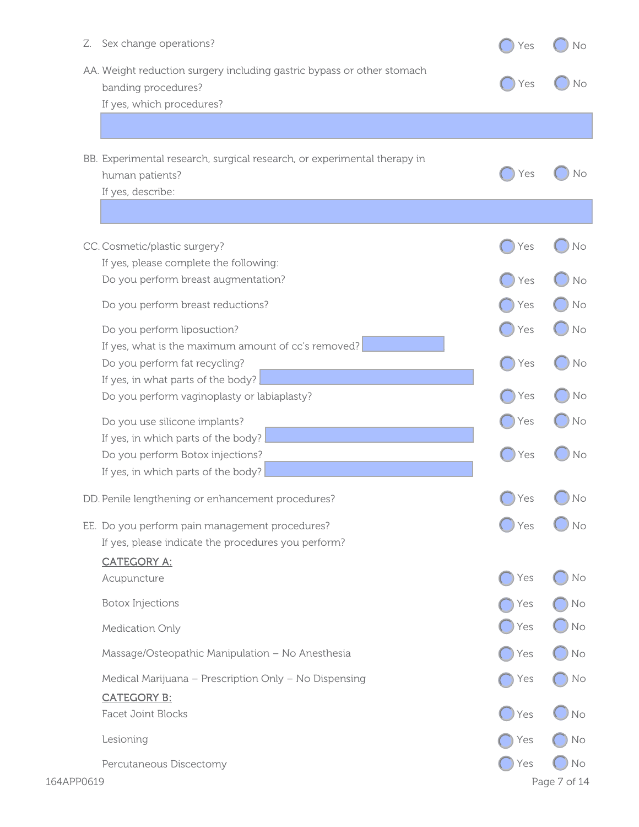| AA. Weight reduction surgery including gastric bypass or other stomach<br>Yes<br>banding procedures?<br>If yes, which procedures?<br>BB. Experimental research, surgical research, or experimental therapy in<br>Yes<br>human patients?<br>If yes, describe:<br>CC. Cosmetic/plastic surgery?<br>Yes<br>If yes, please complete the following:<br>Do you perform breast augmentation?<br>Yes<br>Do you perform breast reductions?<br>Yes<br>Do you perform liposuction?<br>Yes<br>If yes, what is the maximum amount of cc's removed?<br>Do you perform fat recycling?<br>Yes<br>If yes, in what parts of the body?<br>Do you perform vaginoplasty or labiaplasty?<br>Yes<br>Do you use silicone implants?<br>Yes<br>If yes, in which parts of the body?<br>Do you perform Botox injections?<br>Yes<br>If yes, in which parts of the body?<br>Yes<br>DD. Penile lengthening or enhancement procedures?<br>EE. Do you perform pain management procedures?<br>Yes<br>If yes, please indicate the procedures you perform?<br><b>CATEGORY A:</b><br>Acupuncture<br>Yes<br><b>Botox Injections</b><br>Yes<br>Yes<br>Medication Only<br>Massage/Osteopathic Manipulation - No Anesthesia<br>Yes<br>Medical Marijuana - Prescription Only - No Dispensing<br>Yes<br><b>CATEGORY B:</b><br><b>Facet Joint Blocks</b><br>Yes<br>Lesioning<br>Yes<br>Yes<br>Percutaneous Discectomy | Sex change operations?<br>Z. | Yes | No |
|---------------------------------------------------------------------------------------------------------------------------------------------------------------------------------------------------------------------------------------------------------------------------------------------------------------------------------------------------------------------------------------------------------------------------------------------------------------------------------------------------------------------------------------------------------------------------------------------------------------------------------------------------------------------------------------------------------------------------------------------------------------------------------------------------------------------------------------------------------------------------------------------------------------------------------------------------------------------------------------------------------------------------------------------------------------------------------------------------------------------------------------------------------------------------------------------------------------------------------------------------------------------------------------------------------------------------------------------------------------------------|------------------------------|-----|----|
|                                                                                                                                                                                                                                                                                                                                                                                                                                                                                                                                                                                                                                                                                                                                                                                                                                                                                                                                                                                                                                                                                                                                                                                                                                                                                                                                                                           |                              |     |    |
|                                                                                                                                                                                                                                                                                                                                                                                                                                                                                                                                                                                                                                                                                                                                                                                                                                                                                                                                                                                                                                                                                                                                                                                                                                                                                                                                                                           |                              |     |    |
|                                                                                                                                                                                                                                                                                                                                                                                                                                                                                                                                                                                                                                                                                                                                                                                                                                                                                                                                                                                                                                                                                                                                                                                                                                                                                                                                                                           |                              |     |    |
|                                                                                                                                                                                                                                                                                                                                                                                                                                                                                                                                                                                                                                                                                                                                                                                                                                                                                                                                                                                                                                                                                                                                                                                                                                                                                                                                                                           |                              |     |    |
|                                                                                                                                                                                                                                                                                                                                                                                                                                                                                                                                                                                                                                                                                                                                                                                                                                                                                                                                                                                                                                                                                                                                                                                                                                                                                                                                                                           |                              |     |    |
|                                                                                                                                                                                                                                                                                                                                                                                                                                                                                                                                                                                                                                                                                                                                                                                                                                                                                                                                                                                                                                                                                                                                                                                                                                                                                                                                                                           |                              |     |    |
|                                                                                                                                                                                                                                                                                                                                                                                                                                                                                                                                                                                                                                                                                                                                                                                                                                                                                                                                                                                                                                                                                                                                                                                                                                                                                                                                                                           |                              |     |    |
|                                                                                                                                                                                                                                                                                                                                                                                                                                                                                                                                                                                                                                                                                                                                                                                                                                                                                                                                                                                                                                                                                                                                                                                                                                                                                                                                                                           |                              |     |    |
|                                                                                                                                                                                                                                                                                                                                                                                                                                                                                                                                                                                                                                                                                                                                                                                                                                                                                                                                                                                                                                                                                                                                                                                                                                                                                                                                                                           |                              |     | No |
|                                                                                                                                                                                                                                                                                                                                                                                                                                                                                                                                                                                                                                                                                                                                                                                                                                                                                                                                                                                                                                                                                                                                                                                                                                                                                                                                                                           |                              |     |    |
|                                                                                                                                                                                                                                                                                                                                                                                                                                                                                                                                                                                                                                                                                                                                                                                                                                                                                                                                                                                                                                                                                                                                                                                                                                                                                                                                                                           |                              |     |    |
|                                                                                                                                                                                                                                                                                                                                                                                                                                                                                                                                                                                                                                                                                                                                                                                                                                                                                                                                                                                                                                                                                                                                                                                                                                                                                                                                                                           |                              |     |    |
|                                                                                                                                                                                                                                                                                                                                                                                                                                                                                                                                                                                                                                                                                                                                                                                                                                                                                                                                                                                                                                                                                                                                                                                                                                                                                                                                                                           |                              |     | No |
|                                                                                                                                                                                                                                                                                                                                                                                                                                                                                                                                                                                                                                                                                                                                                                                                                                                                                                                                                                                                                                                                                                                                                                                                                                                                                                                                                                           |                              |     |    |
|                                                                                                                                                                                                                                                                                                                                                                                                                                                                                                                                                                                                                                                                                                                                                                                                                                                                                                                                                                                                                                                                                                                                                                                                                                                                                                                                                                           |                              |     | No |
|                                                                                                                                                                                                                                                                                                                                                                                                                                                                                                                                                                                                                                                                                                                                                                                                                                                                                                                                                                                                                                                                                                                                                                                                                                                                                                                                                                           |                              |     |    |
|                                                                                                                                                                                                                                                                                                                                                                                                                                                                                                                                                                                                                                                                                                                                                                                                                                                                                                                                                                                                                                                                                                                                                                                                                                                                                                                                                                           |                              |     |    |
|                                                                                                                                                                                                                                                                                                                                                                                                                                                                                                                                                                                                                                                                                                                                                                                                                                                                                                                                                                                                                                                                                                                                                                                                                                                                                                                                                                           |                              |     |    |
|                                                                                                                                                                                                                                                                                                                                                                                                                                                                                                                                                                                                                                                                                                                                                                                                                                                                                                                                                                                                                                                                                                                                                                                                                                                                                                                                                                           |                              |     |    |
|                                                                                                                                                                                                                                                                                                                                                                                                                                                                                                                                                                                                                                                                                                                                                                                                                                                                                                                                                                                                                                                                                                                                                                                                                                                                                                                                                                           |                              |     |    |
|                                                                                                                                                                                                                                                                                                                                                                                                                                                                                                                                                                                                                                                                                                                                                                                                                                                                                                                                                                                                                                                                                                                                                                                                                                                                                                                                                                           |                              |     |    |
|                                                                                                                                                                                                                                                                                                                                                                                                                                                                                                                                                                                                                                                                                                                                                                                                                                                                                                                                                                                                                                                                                                                                                                                                                                                                                                                                                                           |                              |     | No |
|                                                                                                                                                                                                                                                                                                                                                                                                                                                                                                                                                                                                                                                                                                                                                                                                                                                                                                                                                                                                                                                                                                                                                                                                                                                                                                                                                                           |                              |     |    |
|                                                                                                                                                                                                                                                                                                                                                                                                                                                                                                                                                                                                                                                                                                                                                                                                                                                                                                                                                                                                                                                                                                                                                                                                                                                                                                                                                                           |                              |     |    |
|                                                                                                                                                                                                                                                                                                                                                                                                                                                                                                                                                                                                                                                                                                                                                                                                                                                                                                                                                                                                                                                                                                                                                                                                                                                                                                                                                                           |                              |     |    |
|                                                                                                                                                                                                                                                                                                                                                                                                                                                                                                                                                                                                                                                                                                                                                                                                                                                                                                                                                                                                                                                                                                                                                                                                                                                                                                                                                                           |                              |     | No |
|                                                                                                                                                                                                                                                                                                                                                                                                                                                                                                                                                                                                                                                                                                                                                                                                                                                                                                                                                                                                                                                                                                                                                                                                                                                                                                                                                                           |                              |     | No |
|                                                                                                                                                                                                                                                                                                                                                                                                                                                                                                                                                                                                                                                                                                                                                                                                                                                                                                                                                                                                                                                                                                                                                                                                                                                                                                                                                                           |                              |     | No |
|                                                                                                                                                                                                                                                                                                                                                                                                                                                                                                                                                                                                                                                                                                                                                                                                                                                                                                                                                                                                                                                                                                                                                                                                                                                                                                                                                                           |                              |     | No |
|                                                                                                                                                                                                                                                                                                                                                                                                                                                                                                                                                                                                                                                                                                                                                                                                                                                                                                                                                                                                                                                                                                                                                                                                                                                                                                                                                                           |                              |     | No |
|                                                                                                                                                                                                                                                                                                                                                                                                                                                                                                                                                                                                                                                                                                                                                                                                                                                                                                                                                                                                                                                                                                                                                                                                                                                                                                                                                                           |                              |     |    |
|                                                                                                                                                                                                                                                                                                                                                                                                                                                                                                                                                                                                                                                                                                                                                                                                                                                                                                                                                                                                                                                                                                                                                                                                                                                                                                                                                                           |                              |     | No |
|                                                                                                                                                                                                                                                                                                                                                                                                                                                                                                                                                                                                                                                                                                                                                                                                                                                                                                                                                                                                                                                                                                                                                                                                                                                                                                                                                                           |                              |     | No |
|                                                                                                                                                                                                                                                                                                                                                                                                                                                                                                                                                                                                                                                                                                                                                                                                                                                                                                                                                                                                                                                                                                                                                                                                                                                                                                                                                                           |                              |     | No |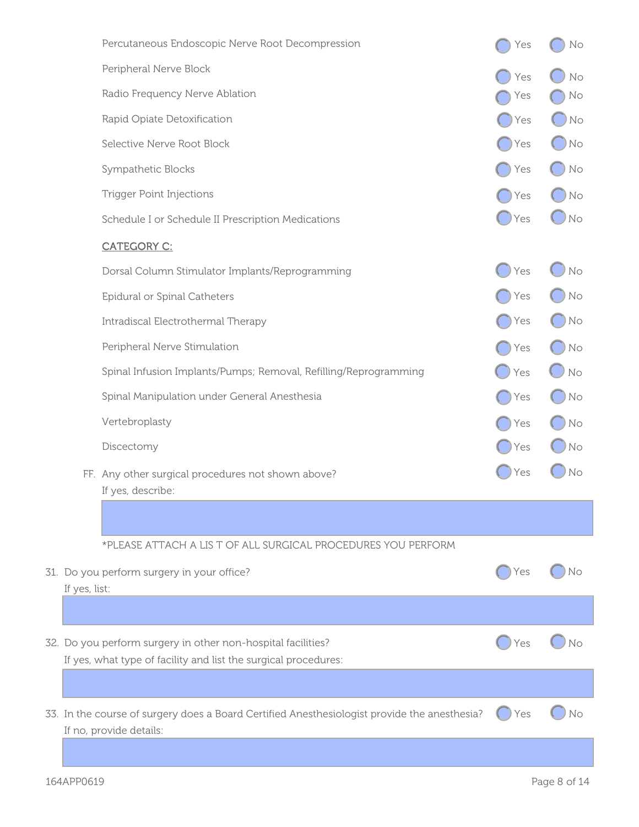|               | Percutaneous Endoscopic Nerve Root Decompression                                                                                | Yes           | No   |
|---------------|---------------------------------------------------------------------------------------------------------------------------------|---------------|------|
|               | Peripheral Nerve Block                                                                                                          | Yes           | No   |
|               | Radio Frequency Nerve Ablation                                                                                                  | Yes           | No   |
|               | Rapid Opiate Detoxification                                                                                                     | Yes           | No   |
|               | Selective Nerve Root Block                                                                                                      | Yes           | No   |
|               | Sympathetic Blocks                                                                                                              | Yes           | No   |
|               | <b>Trigger Point Injections</b>                                                                                                 | Yes           | No   |
|               | Schedule I or Schedule II Prescription Medications                                                                              | $\bigcup$ Yes | No   |
|               | <b>CATEGORY C:</b>                                                                                                              |               |      |
|               | Dorsal Column Stimulator Implants/Reprogramming                                                                                 | Yes           | No   |
|               | Epidural or Spinal Catheters                                                                                                    | Yes           | No   |
|               | Intradiscal Electrothermal Therapy                                                                                              | Yes           | No   |
|               | Peripheral Nerve Stimulation                                                                                                    | Yes           | No   |
|               | Spinal Infusion Implants/Pumps; Removal, Refilling/Reprogramming                                                                | Yes           | No   |
|               | Spinal Manipulation under General Anesthesia                                                                                    | Yes           | No   |
|               | Vertebroplasty                                                                                                                  | Yes           | No   |
|               | Discectomy                                                                                                                      | Yes           | ) No |
|               | FF. Any other surgical procedures not shown above?<br>If yes, describe:                                                         | Yes           | No   |
|               |                                                                                                                                 |               |      |
|               | *PLEASE ATTACH A LIS T OF ALL SURGICAL PROCEDURES YOU PERFORM                                                                   |               |      |
| If yes, list: | 31. Do you perform surgery in your office?                                                                                      | Yes           | No   |
|               |                                                                                                                                 |               |      |
|               | 32. Do you perform surgery in other non-hospital facilities?<br>If yes, what type of facility and list the surgical procedures: | Yes           | No   |
|               |                                                                                                                                 |               |      |
|               | 33. In the course of surgery does a Board Certified Anesthesiologist provide the anesthesia?<br>If no, provide details:         | Yes           | No   |
|               |                                                                                                                                 |               |      |

31. Do

32. Do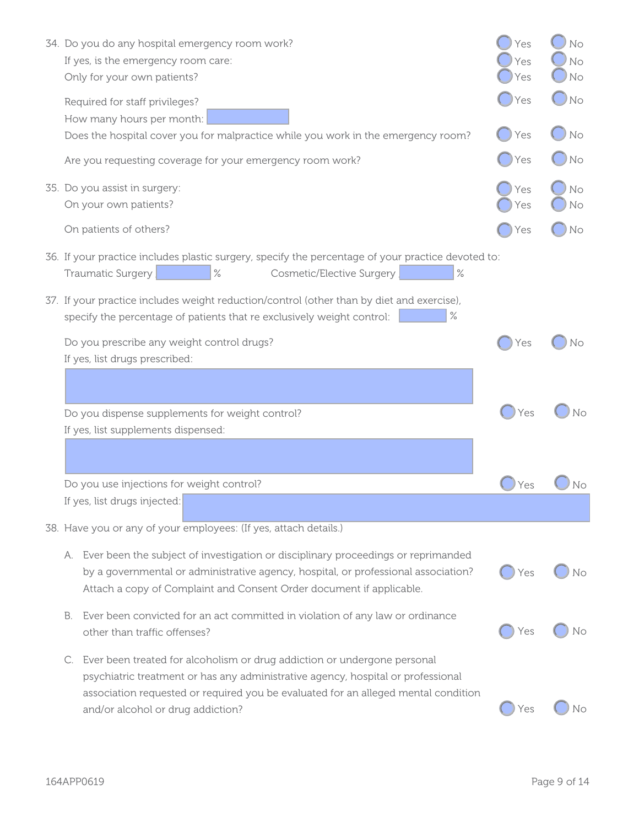|    | 34. Do you do any hospital emergency room work?<br>If yes, is the emergency room care:<br>Only for your own patients?                                                                                                                                                                   | Yes<br>Yes<br>Yes | No<br>No<br>No |
|----|-----------------------------------------------------------------------------------------------------------------------------------------------------------------------------------------------------------------------------------------------------------------------------------------|-------------------|----------------|
|    | Required for staff privileges?<br>How many hours per month:                                                                                                                                                                                                                             | Yes               | No             |
|    | Does the hospital cover you for malpractice while you work in the emergency room?                                                                                                                                                                                                       | Yes               | No             |
|    | Are you requesting coverage for your emergency room work?                                                                                                                                                                                                                               | Yes               | No             |
|    | 35. Do you assist in surgery:<br>On your own patients?                                                                                                                                                                                                                                  | Yes<br>Yes        | No<br>No       |
|    | On patients of others?                                                                                                                                                                                                                                                                  | Yes               | No             |
|    | 36. If your practice includes plastic surgery, specify the percentage of your practice devoted to:<br>Traumatic Surgery<br>$\%$<br>Cosmetic/Elective Surgery<br>$\%$                                                                                                                    |                   |                |
|    | 37. If your practice includes weight reduction/control (other than by diet and exercise),<br>$\%$<br>specify the percentage of patients that re exclusively weight control:                                                                                                             |                   |                |
|    | Do you prescribe any weight control drugs?<br>If yes, list drugs prescribed:                                                                                                                                                                                                            | Yes               | No             |
|    |                                                                                                                                                                                                                                                                                         |                   |                |
|    | Do you dispense supplements for weight control?<br>If yes, list supplements dispensed:                                                                                                                                                                                                  | Yes               | No             |
|    |                                                                                                                                                                                                                                                                                         |                   |                |
|    | Do you use injections for weight control?                                                                                                                                                                                                                                               | Yes               | No             |
|    | If yes, list drugs injected:                                                                                                                                                                                                                                                            |                   |                |
|    | 38. Have you or any of your employees: (If yes, attach details.)                                                                                                                                                                                                                        |                   |                |
|    | A. Ever been the subject of investigation or disciplinary proceedings or reprimanded<br>by a governmental or administrative agency, hospital, or professional association?<br>Attach a copy of Complaint and Consent Order document if applicable.                                      | Yes               | No             |
| В. | Ever been convicted for an act committed in violation of any law or ordinance<br>other than traffic offenses?                                                                                                                                                                           | Yes               | No             |
| C. | Ever been treated for alcoholism or drug addiction or undergone personal<br>psychiatric treatment or has any administrative agency, hospital or professional<br>association requested or required you be evaluated for an alleged mental condition<br>and/or alcohol or drug addiction? | Yes               | No             |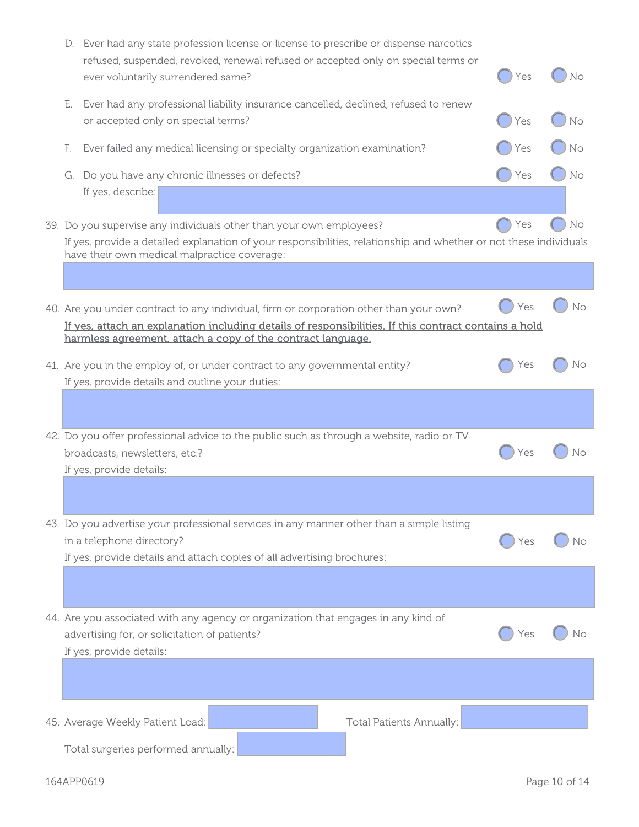|    | D. Ever had any state profession license or license to prescribe or dispense narcotics<br>refused, suspended, revoked, renewal refused or accepted only on special terms or<br>ever voluntarily surrendered same?                                              | Yes | Νo |
|----|----------------------------------------------------------------------------------------------------------------------------------------------------------------------------------------------------------------------------------------------------------------|-----|----|
| Е. | Ever had any professional liability insurance cancelled, declined, refused to renew<br>or accepted only on special terms?                                                                                                                                      | Yes | Νo |
| E. | Ever failed any medical licensing or specialty organization examination?                                                                                                                                                                                       | Yes | Νo |
|    | G. Do you have any chronic illnesses or defects?                                                                                                                                                                                                               | Yes | No |
|    | If yes, describe:                                                                                                                                                                                                                                              |     |    |
|    | 39. Do you supervise any individuals other than your own employees?<br>If yes, provide a detailed explanation of your responsibilities, relationship and whether or not these individuals<br>have their own medical malpractice coverage:                      | Yes | No |
|    |                                                                                                                                                                                                                                                                |     |    |
|    | 40. Are you under contract to any individual, firm or corporation other than your own?<br>If yes, attach an explanation including details of responsibilities. If this contract contains a hold<br>harmless agreement, attach a copy of the contract language. | Yes | No |
|    | 41. Are you in the employ of, or under contract to any governmental entity?<br>If yes, provide details and outline your duties:                                                                                                                                | Yes | Νo |
|    |                                                                                                                                                                                                                                                                |     |    |
|    | 42. Do you offer professional advice to the public such as through a website, radio or TV<br>broadcasts, newsletters, etc.?                                                                                                                                    | Yes | Νo |
|    | If yes, provide details:                                                                                                                                                                                                                                       |     |    |
|    |                                                                                                                                                                                                                                                                |     |    |
|    | 43. Do you advertise your professional services in any manner other than a simple listing<br>in a telephone directory?                                                                                                                                         | Yes |    |
|    | If yes, provide details and attach copies of all advertising brochures:                                                                                                                                                                                        |     |    |
|    |                                                                                                                                                                                                                                                                |     |    |
|    | 44. Are you associated with any agency or organization that engages in any kind of<br>advertising for, or solicitation of patients?                                                                                                                            | Yes |    |
|    | If yes, provide details:                                                                                                                                                                                                                                       |     |    |
|    |                                                                                                                                                                                                                                                                |     |    |
|    | Total Patients Annually:<br>45. Average Weekly Patient Load:                                                                                                                                                                                                   |     |    |
|    | Total surgeries performed annually:                                                                                                                                                                                                                            |     |    |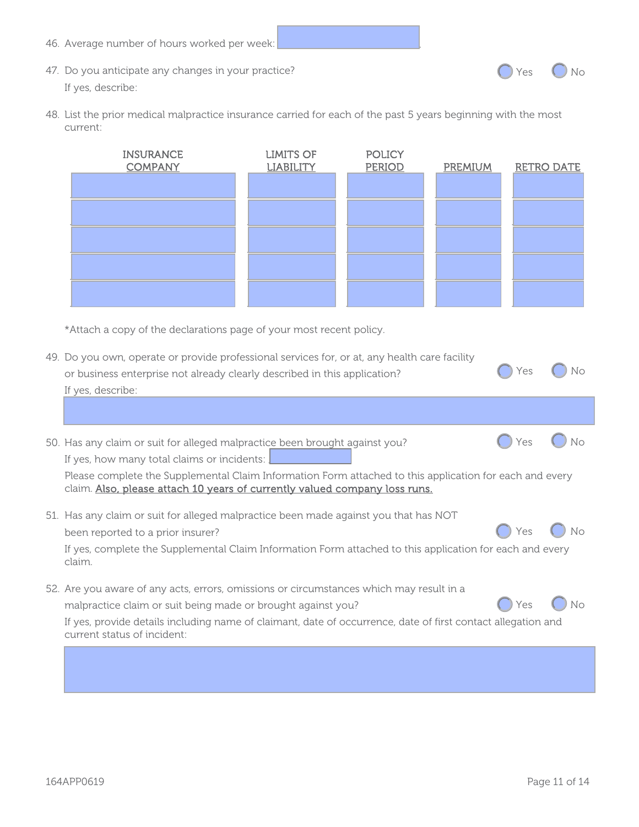46. Average number of hours worked per week: 47. Do you anticipate any changes in your practice? If yes, describe: 48. List the prior medical malpractice insurance carried for each of the past 5 years beginning with the most current:  $O$  Yes  $O$  No

| <b>INSURANCE</b><br><b>COMPANY</b> | <b>LIMITS OF</b><br><b>LIABILITY</b> | <b>POLICY</b><br><b>PERIOD</b> | PREMIUM | <b>RETRO DATE</b> |
|------------------------------------|--------------------------------------|--------------------------------|---------|-------------------|
|                                    |                                      |                                |         |                   |
|                                    |                                      |                                |         |                   |
|                                    |                                      |                                |         |                   |
|                                    |                                      |                                |         |                   |
|                                    |                                      |                                |         |                   |

\*Attach a copy of the declarations page of your most recent policy.

| 49. Do you own, operate or provide professional services for, or at, any health care facility<br>or business enterprise not already clearly described in this application?<br>If yes, describe:                                                                                                        | 'es |    |
|--------------------------------------------------------------------------------------------------------------------------------------------------------------------------------------------------------------------------------------------------------------------------------------------------------|-----|----|
|                                                                                                                                                                                                                                                                                                        |     |    |
| 50. Has any claim or suit for alleged malpractice been brought against you?<br>If yes, how many total claims or incidents:                                                                                                                                                                             | Yes |    |
| Please complete the Supplemental Claim Information Form attached to this application for each and every<br>claim. Also, please attach 10 years of currently valued company loss runs.                                                                                                                  |     |    |
| 51. Has any claim or suit for alleged malpractice been made against you that has NOT<br>been reported to a prior insurer?<br>If yes, complete the Supplemental Claim Information Form attached to this application for each and every<br>claim.                                                        | Yes | No |
| 52. Are you aware of any acts, errors, omissions or circumstances which may result in a<br>malpractice claim or suit being made or brought against you?<br>If yes, provide details including name of claimant, date of occurrence, date of first contact allegation and<br>current status of incident: | /es | Nο |
|                                                                                                                                                                                                                                                                                                        |     |    |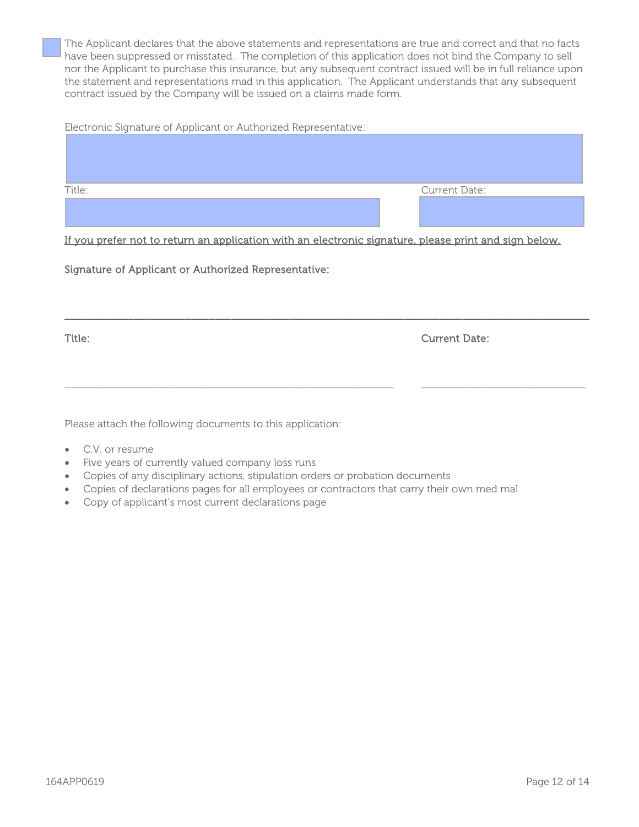The Applicant declares that the above statements and representations are true and correct and that no facts have been suppressed or misstated. The completion of this application does not bind the Company to sell nor the Applicant to purchase this insurance, but any subsequent contract issued will be in full reliance upon the statement and representations mad in this application. The Applicant understands that any subsequent contract issued by the Company will be issued on a claims made form.

Electronic Signature of Applicant or Authorized Representative:

| Title: | Current Date: |
|--------|---------------|
|        |               |
|        |               |
|        |               |

If you prefer not to return an application with an electronic signature, please print and sign below.

\_\_\_\_\_\_\_\_\_\_\_\_\_\_\_\_\_\_\_\_\_\_\_\_\_\_\_\_\_\_\_\_\_\_\_\_\_\_\_\_\_\_\_\_\_\_\_\_\_\_\_\_\_\_\_\_\_\_\_\_\_\_\_\_\_\_\_\_\_\_\_\_\_\_\_\_\_\_\_\_\_\_\_\_\_\_\_\_\_\_\_

\_\_\_\_\_\_\_\_\_\_\_\_\_\_\_\_\_\_\_\_\_\_\_\_\_\_\_\_\_\_\_\_\_\_\_\_\_\_\_\_\_\_\_\_\_\_\_\_\_\_\_\_\_\_\_\_\_\_\_\_ \_\_\_\_\_\_\_\_\_\_\_\_\_\_\_\_\_\_\_\_\_\_\_\_\_\_\_\_\_\_

Signature of Applicant or Authorized Representative:

Title: Current Date:

Please attach the following documents to this application:

- C.V. or resume
- Five years of currently valued company loss runs
- Copies of any disciplinary actions, stipulation orders or probation documents
- Copies of declarations pages for all employees or contractors that carry their own med mal
- Copy of applicant's most current declarations page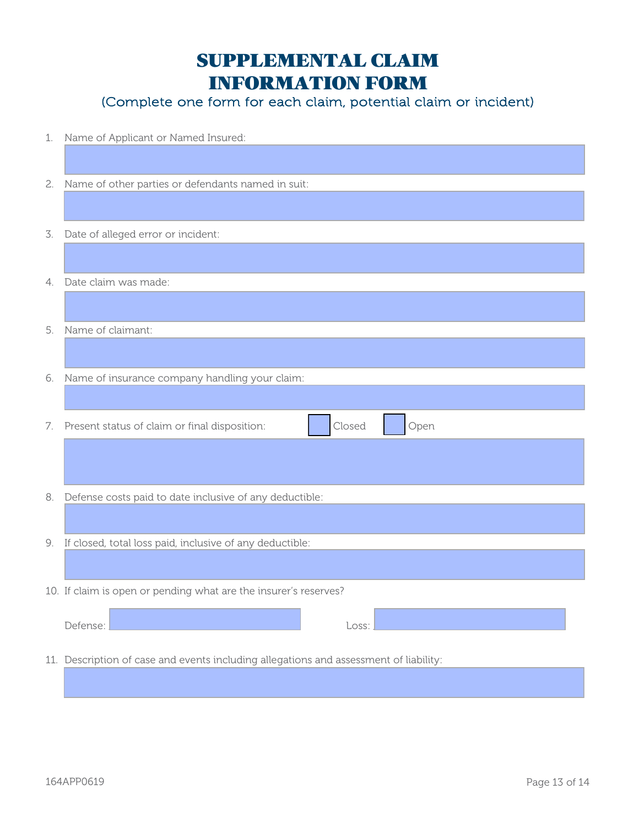## SUPPLEMENTAL CLAIM INFORMATION FORM

(Complete one form for each claim, potential claim or incident)

| 1. | Name of Applicant or Named Insured:                                                   |  |  |  |
|----|---------------------------------------------------------------------------------------|--|--|--|
|    |                                                                                       |  |  |  |
| 2. | Name of other parties or defendants named in suit:                                    |  |  |  |
|    |                                                                                       |  |  |  |
| 3. | Date of alleged error or incident:                                                    |  |  |  |
|    |                                                                                       |  |  |  |
|    | 4. Date claim was made:                                                               |  |  |  |
|    |                                                                                       |  |  |  |
| 5. | Name of claimant:                                                                     |  |  |  |
|    |                                                                                       |  |  |  |
| 6. | Name of insurance company handling your claim:                                        |  |  |  |
|    |                                                                                       |  |  |  |
|    | Closed<br>Open<br>7. Present status of claim or final disposition:                    |  |  |  |
|    |                                                                                       |  |  |  |
|    |                                                                                       |  |  |  |
| 8. | Defense costs paid to date inclusive of any deductible:                               |  |  |  |
|    |                                                                                       |  |  |  |
| 9. | If closed, total loss paid, inclusive of any deductible:                              |  |  |  |
|    |                                                                                       |  |  |  |
|    | 10. If claim is open or pending what are the insurer's reserves?                      |  |  |  |
|    |                                                                                       |  |  |  |
|    | Defense:<br>Loss:                                                                     |  |  |  |
|    | 11. Description of case and events including allegations and assessment of liability: |  |  |  |
|    |                                                                                       |  |  |  |